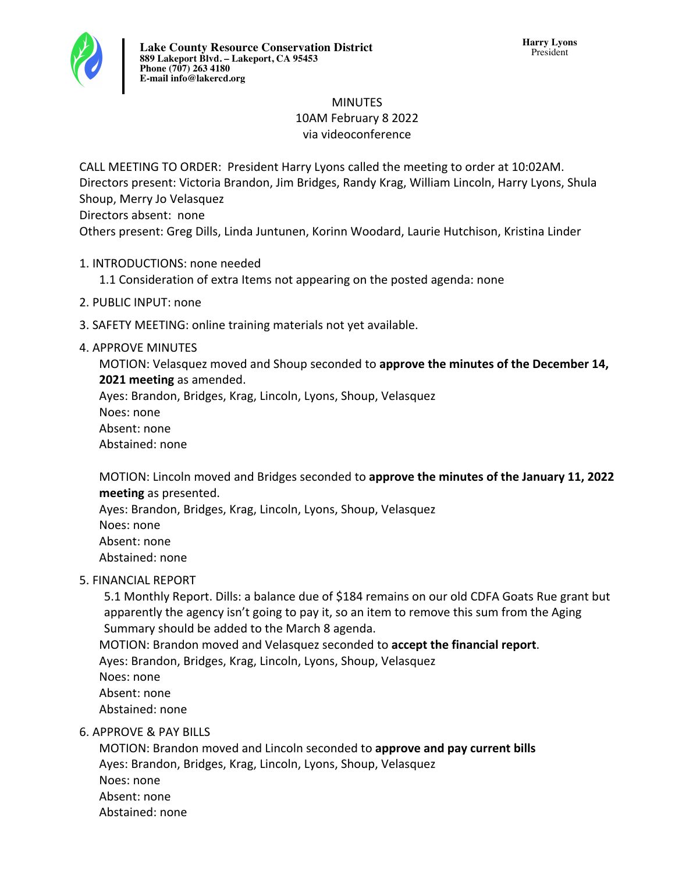

# **MINUTFS** 10AM February 8 2022 via videoconference

CALL MEETING TO ORDER: President Harry Lyons called the meeting to order at 10:02AM. Directors present: Victoria Brandon, Jim Bridges, Randy Krag, William Lincoln, Harry Lyons, Shula Shoup, Merry Jo Velasquez

Directors absent: none

Others present: Greg Dills, Linda Juntunen, Korinn Woodard, Laurie Hutchison, Kristina Linder

1. INTRODUCTIONS: none needed

1.1 Consideration of extra Items not appearing on the posted agenda: none

- 2. PUBLIC INPUT: none
- 3. SAFETY MEETING: online training materials not yet available.

## 4. APPROVE MINUTES

MOTION: Velasquez moved and Shoup seconded to approve the minutes of the December 14, **2021 meeting** as amended.

Ayes: Brandon, Bridges, Krag, Lincoln, Lyons, Shoup, Velasquez

Noes: none

Absent: none

Abstained: none

MOTION: Lincoln moved and Bridges seconded to **approve the minutes of the January 11, 2022 meeting** as presented.

Ayes: Brandon, Bridges, Krag, Lincoln, Lyons, Shoup, Velasquez Noes: none Absent: none Abstained: none

# **5. FINANCIAL REPORT**

5.1 Monthly Report. Dills: a balance due of \$184 remains on our old CDFA Goats Rue grant but apparently the agency isn't going to pay it, so an item to remove this sum from the Aging Summary should be added to the March 8 agenda.

MOTION: Brandon moved and Velasquez seconded to **accept the financial report**.

Ayes: Brandon, Bridges, Krag, Lincoln, Lyons, Shoup, Velasquez

Noes: none

Absent: none

Abstained: none

# 6. APPROVE & PAY BILLS

MOTION: Brandon moved and Lincoln seconded to **approve and pay current bills** Ayes: Brandon, Bridges, Krag, Lincoln, Lyons, Shoup, Velasquez Noes: none Absent: none Abstained: none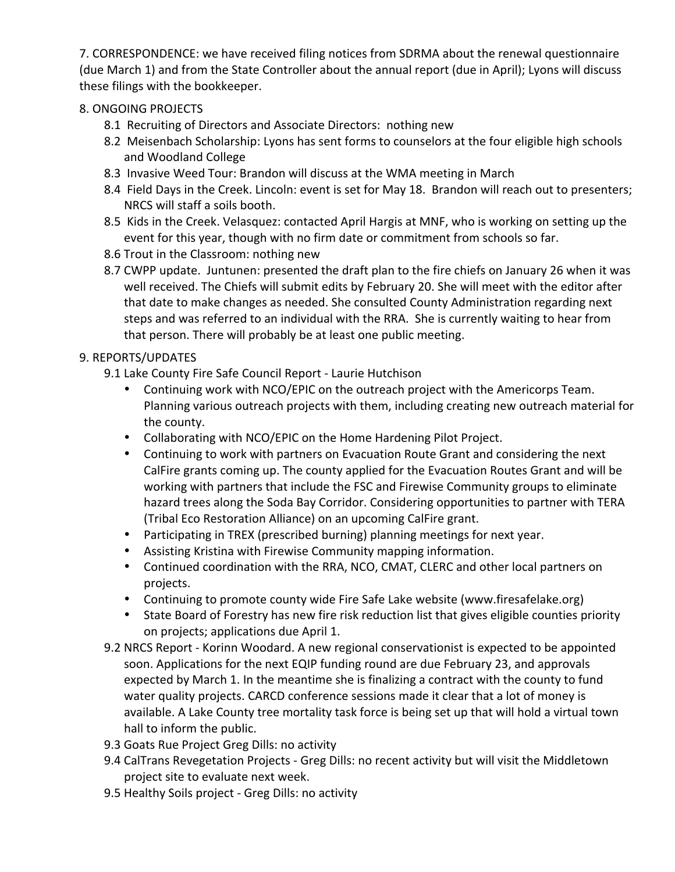7. CORRESPONDENCE: we have received filing notices from SDRMA about the renewal questionnaire (due March 1) and from the State Controller about the annual report (due in April); Lyons will discuss these filings with the bookkeeper.

## 8. ONGOING PROJECTS

- 8.1 Recruiting of Directors and Associate Directors: nothing new
- 8.2 Meisenbach Scholarship: Lyons has sent forms to counselors at the four eligible high schools and Woodland College
- 8.3 Invasive Weed Tour: Brandon will discuss at the WMA meeting in March
- 8.4 Field Days in the Creek. Lincoln: event is set for May 18. Brandon will reach out to presenters; NRCS will staff a soils booth.
- 8.5 Kids in the Creek. Velasquez: contacted April Hargis at MNF, who is working on setting up the event for this year, though with no firm date or commitment from schools so far.
- 8.6 Trout in the Classroom: nothing new
- 8.7 CWPP update. Juntunen: presented the draft plan to the fire chiefs on January 26 when it was well received. The Chiefs will submit edits by February 20. She will meet with the editor after that date to make changes as needed. She consulted County Administration regarding next steps and was referred to an individual with the RRA. She is currently waiting to hear from that person. There will probably be at least one public meeting.

## 9. REPORTS/UPDATES

- 9.1 Lake County Fire Safe Council Report Laurie Hutchison
	- Continuing work with NCO/EPIC on the outreach project with the Americorps Team. Planning various outreach projects with them, including creating new outreach material for the county.
	- Collaborating with NCO/EPIC on the Home Hardening Pilot Project.
	- Continuing to work with partners on Evacuation Route Grant and considering the next CalFire grants coming up. The county applied for the Evacuation Routes Grant and will be working with partners that include the FSC and Firewise Community groups to eliminate hazard trees along the Soda Bay Corridor. Considering opportunities to partner with TERA (Tribal Eco Restoration Alliance) on an upcoming CalFire grant.
	- Participating in TREX (prescribed burning) planning meetings for next year.
	- Assisting Kristina with Firewise Community mapping information.
	- Continued coordination with the RRA, NCO, CMAT, CLERC and other local partners on projects.
	- Continuing to promote county wide Fire Safe Lake website (www.firesafelake.org)
	- State Board of Forestry has new fire risk reduction list that gives eligible counties priority on projects; applications due April 1.
- 9.2 NRCS Report Korinn Woodard. A new regional conservationist is expected to be appointed soon. Applications for the next EQIP funding round are due February 23, and approvals expected by March 1. In the meantime she is finalizing a contract with the county to fund water quality projects. CARCD conference sessions made it clear that a lot of money is available. A Lake County tree mortality task force is being set up that will hold a virtual town hall to inform the public.
- 9.3 Goats Rue Project Greg Dills: no activity
- 9.4 CalTrans Revegetation Projects Greg Dills: no recent activity but will visit the Middletown project site to evaluate next week.
- 9.5 Healthy Soils project Greg Dills: no activity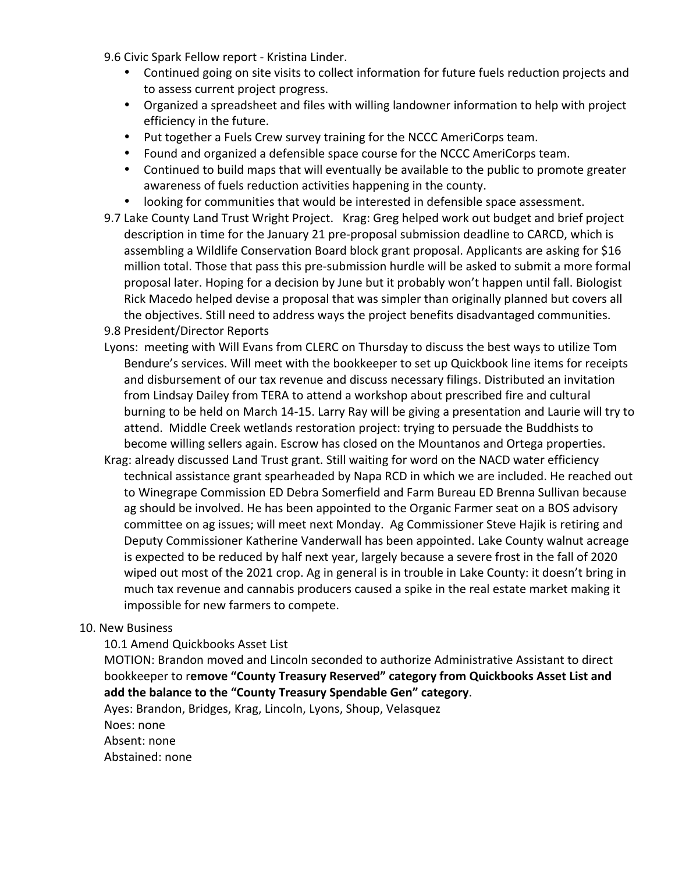- 9.6 Civic Spark Fellow report Kristina Linder.
	- Continued going on site visits to collect information for future fuels reduction projects and to assess current project progress.
	- Organized a spreadsheet and files with willing landowner information to help with project efficiency in the future.
	- Put together a Fuels Crew survey training for the NCCC AmeriCorps team.
	- Found and organized a defensible space course for the NCCC AmeriCorps team.
	- Continued to build maps that will eventually be available to the public to promote greater awareness of fuels reduction activities happening in the county.
	- looking for communities that would be interested in defensible space assessment.
- 9.7 Lake County Land Trust Wright Project. Krag: Greg helped work out budget and brief project description in time for the January 21 pre-proposal submission deadline to CARCD, which is assembling a Wildlife Conservation Board block grant proposal. Applicants are asking for \$16 million total. Those that pass this pre-submission hurdle will be asked to submit a more formal proposal later. Hoping for a decision by June but it probably won't happen until fall. Biologist Rick Macedo helped devise a proposal that was simpler than originally planned but covers all the objectives. Still need to address ways the project benefits disadvantaged communities.
- 9.8 President/Director Reports
- Lyons: meeting with Will Evans from CLERC on Thursday to discuss the best ways to utilize Tom Bendure's services. Will meet with the bookkeeper to set up Quickbook line items for receipts and disbursement of our tax revenue and discuss necessary filings. Distributed an invitation from Lindsay Dailey from TERA to attend a workshop about prescribed fire and cultural burning to be held on March 14-15. Larry Ray will be giving a presentation and Laurie will try to attend. Middle Creek wetlands restoration project: trying to persuade the Buddhists to become willing sellers again. Escrow has closed on the Mountanos and Ortega properties.
- Krag: already discussed Land Trust grant. Still waiting for word on the NACD water efficiency technical assistance grant spearheaded by Napa RCD in which we are included. He reached out to Winegrape Commission ED Debra Somerfield and Farm Bureau ED Brenna Sullivan because ag should be involved. He has been appointed to the Organic Farmer seat on a BOS advisory committee on ag issues; will meet next Monday. Ag Commissioner Steve Hajik is retiring and Deputy Commissioner Katherine Vanderwall has been appointed. Lake County walnut acreage is expected to be reduced by half next year, largely because a severe frost in the fall of 2020 wiped out most of the 2021 crop. Ag in general is in trouble in Lake County: it doesn't bring in much tax revenue and cannabis producers caused a spike in the real estate market making it impossible for new farmers to compete.

### 10. New Business

#### 10.1 Amend Quickbooks Asset List

MOTION: Brandon moved and Lincoln seconded to authorize Administrative Assistant to direct bookkeeper to remove "County Treasury Reserved" category from Quickbooks Asset List and add the balance to the "County Treasury Spendable Gen" category.

Ayes: Brandon, Bridges, Krag, Lincoln, Lyons, Shoup, Velasquez Noes: none Absent: none Abstained: none